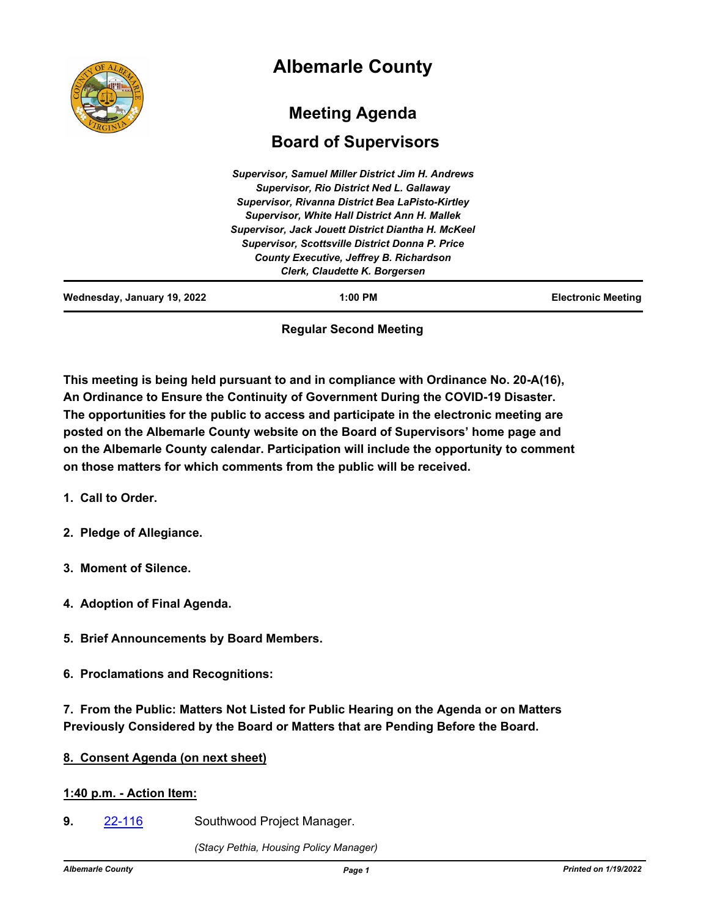|                             | <b>Albemarle County</b>                                                                                                                                                                                                                                                                                                                                                                                                    |                           |
|-----------------------------|----------------------------------------------------------------------------------------------------------------------------------------------------------------------------------------------------------------------------------------------------------------------------------------------------------------------------------------------------------------------------------------------------------------------------|---------------------------|
|                             | <b>Meeting Agenda</b><br><b>Board of Supervisors</b>                                                                                                                                                                                                                                                                                                                                                                       |                           |
|                             | <b>Supervisor, Samuel Miller District Jim H. Andrews</b><br><b>Supervisor, Rio District Ned L. Gallaway</b><br>Supervisor, Rivanna District Bea LaPisto-Kirtley<br><b>Supervisor, White Hall District Ann H. Mallek</b><br><b>Supervisor, Jack Jouett District Diantha H. McKeel</b><br><b>Supervisor, Scottsville District Donna P. Price</b><br>County Executive, Jeffrey B. Richardson<br>Clerk, Claudette K. Borgersen |                           |
| Wednesday, January 19, 2022 | 1:00 PM                                                                                                                                                                                                                                                                                                                                                                                                                    | <b>Electronic Meeting</b> |

# **Regular Second Meeting**

**This meeting is being held pursuant to and in compliance with Ordinance No. 20-A(16), An Ordinance to Ensure the Continuity of Government During the COVID-19 Disaster. The opportunities for the public to access and participate in the electronic meeting are posted on the Albemarle County website on the Board of Supervisors' home page and on the Albemarle County calendar. Participation will include the opportunity to comment on those matters for which comments from the public will be received.**

- **1. Call to Order.**
- **2. Pledge of Allegiance.**
- **3. Moment of Silence.**
- **4. Adoption of Final Agenda.**
- **5. Brief Announcements by Board Members.**
- **6. Proclamations and Recognitions:**

**7. From the Public: Matters Not Listed for Public Hearing on the Agenda or on Matters Previously Considered by the Board or Matters that are Pending Before the Board.**

# **8. Consent Agenda (on next sheet)**

# **1:40 p.m. - Action Item:**

**9. [22-116](http://albemarle.legistar.com/gateway.aspx?m=l&id=/matter.aspx?key=6861)** Southwood Project Manager.

*(Stacy Pethia, Housing Policy Manager)*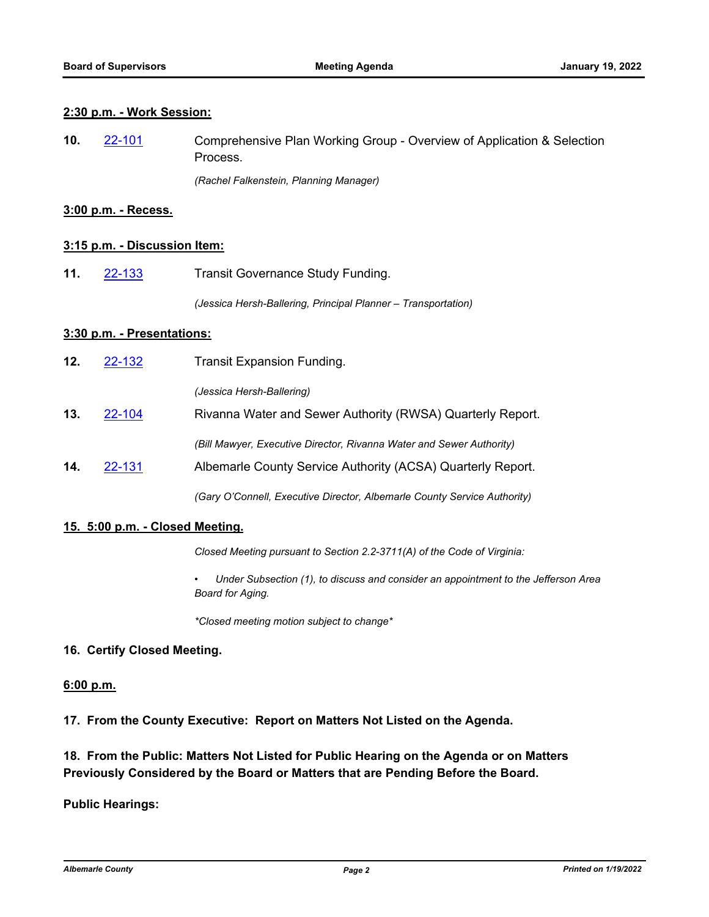### **2:30 p.m. - Work Session:**

Comprehensive Plan Working Group - Overview of Application & Selection Process. **10.** [22-101](http://albemarle.legistar.com/gateway.aspx?m=l&id=/matter.aspx?key=6842)

*(Rachel Falkenstein, Planning Manager)*

## **3:00 p.m. - Recess.**

## **3:15 p.m. - Discussion Item:**

**11.** [22-133](http://albemarle.legistar.com/gateway.aspx?m=l&id=/matter.aspx?key=6878) Transit Governance Study Funding.

*(Jessica Hersh-Ballering, Principal Planner – Transportation)*

### **3:30 p.m. - Presentations:**

| 12. | 22-132 | <b>Transit Expansion Funding.</b>                                    |
|-----|--------|----------------------------------------------------------------------|
|     |        | (Jessica Hersh-Ballering)                                            |
| 13. | 22-104 | Rivanna Water and Sewer Authority (RWSA) Quarterly Report.           |
|     |        | (Bill Mawyer, Executive Director, Rivanna Water and Sewer Authority) |
| 14. | 22-131 | Albemarle County Service Authority (ACSA) Quarterly Report.          |
|     |        |                                                                      |

*(Gary O'Connell, Executive Director, Albemarle County Service Authority)*

### **15. 5:00 p.m. - Closed Meeting.**

*Closed Meeting pursuant to Section 2.2-3711(A) of the Code of Virginia:*

*• Under Subsection (1), to discuss and consider an appointment to the Jefferson Area Board for Aging.* 

*\*Closed meeting motion subject to change\**

# **16. Certify Closed Meeting.**

## **6:00 p.m.**

**17. From the County Executive: Report on Matters Not Listed on the Agenda.**

# **18. From the Public: Matters Not Listed for Public Hearing on the Agenda or on Matters Previously Considered by the Board or Matters that are Pending Before the Board.**

### **Public Hearings:**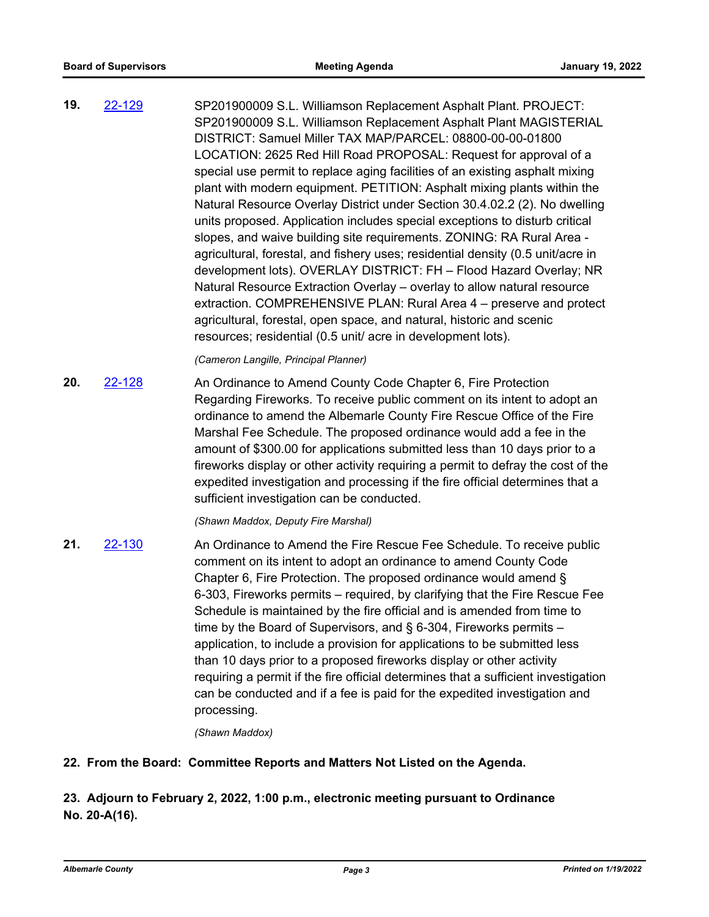SP201900009 S.L. Williamson Replacement Asphalt Plant. PROJECT: SP201900009 S.L. Williamson Replacement Asphalt Plant MAGISTERIAL DISTRICT: Samuel Miller TAX MAP/PARCEL: 08800-00-00-01800 LOCATION: 2625 Red Hill Road PROPOSAL: Request for approval of a special use permit to replace aging facilities of an existing asphalt mixing plant with modern equipment. PETITION: Asphalt mixing plants within the Natural Resource Overlay District under Section 30.4.02.2 (2). No dwelling units proposed. Application includes special exceptions to disturb critical slopes, and waive building site requirements. ZONING: RA Rural Area agricultural, forestal, and fishery uses; residential density (0.5 unit/acre in development lots). OVERLAY DISTRICT: FH – Flood Hazard Overlay; NR Natural Resource Extraction Overlay – overlay to allow natural resource extraction. COMPREHENSIVE PLAN: Rural Area 4 – preserve and protect agricultural, forestal, open space, and natural, historic and scenic resources; residential (0.5 unit/ acre in development lots). **19.** [22-129](http://albemarle.legistar.com/gateway.aspx?m=l&id=/matter.aspx?key=6874)

*(Cameron Langille, Principal Planner)*

An Ordinance to Amend County Code Chapter 6, Fire Protection Regarding Fireworks. To receive public comment on its intent to adopt an ordinance to amend the Albemarle County Fire Rescue Office of the Fire Marshal Fee Schedule. The proposed ordinance would add a fee in the amount of \$300.00 for applications submitted less than 10 days prior to a fireworks display or other activity requiring a permit to defray the cost of the expedited investigation and processing if the fire official determines that a sufficient investigation can be conducted. **20.** [22-128](http://albemarle.legistar.com/gateway.aspx?m=l&id=/matter.aspx?key=6873)

### *(Shawn Maddox, Deputy Fire Marshal)*

An Ordinance to Amend the Fire Rescue Fee Schedule. To receive public comment on its intent to adopt an ordinance to amend County Code Chapter 6, Fire Protection. The proposed ordinance would amend § 6-303, Fireworks permits – required, by clarifying that the Fire Rescue Fee Schedule is maintained by the fire official and is amended from time to time by the Board of Supervisors, and § 6-304, Fireworks permits – application, to include a provision for applications to be submitted less than 10 days prior to a proposed fireworks display or other activity requiring a permit if the fire official determines that a sufficient investigation can be conducted and if a fee is paid for the expedited investigation and processing. **21.** [22-130](http://albemarle.legistar.com/gateway.aspx?m=l&id=/matter.aspx?key=6875)

*(Shawn Maddox)*

# **22. From the Board: Committee Reports and Matters Not Listed on the Agenda.**

# **23. Adjourn to February 2, 2022, 1:00 p.m., electronic meeting pursuant to Ordinance No. 20-A(16).**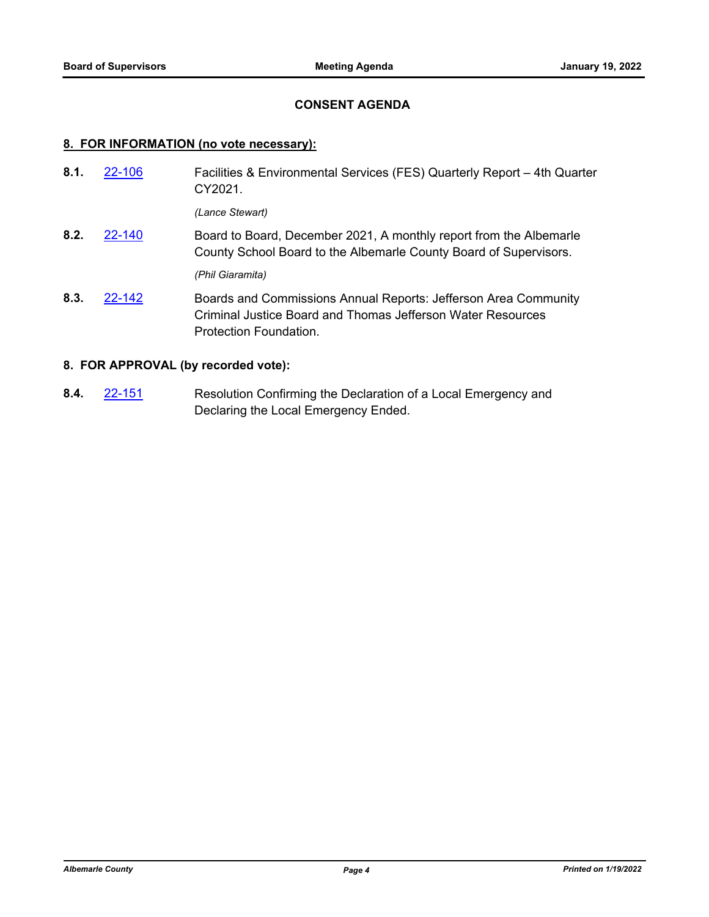## **CONSENT AGENDA**

### **8. FOR INFORMATION (no vote necessary):**

- Facilities & Environmental Services (FES) Quarterly Report 4th Quarter CY2021. **8.1.** [22-106](http://albemarle.legistar.com/gateway.aspx?m=l&id=/matter.aspx?key=6853) *(Lance Stewart)*
- Board to Board, December 2021, A monthly report from the Albemarle County School Board to the Albemarle County Board of Supervisors. **8.2.** [22-140](http://albemarle.legistar.com/gateway.aspx?m=l&id=/matter.aspx?key=6885)

*(Phil Giaramita)*

Boards and Commissions Annual Reports: Jefferson Area Community Criminal Justice Board and Thomas Jefferson Water Resources Protection Foundation. **8.3.** [22-142](http://albemarle.legistar.com/gateway.aspx?m=l&id=/matter.aspx?key=6887)

# **8. FOR APPROVAL (by recorded vote):**

Resolution Confirming the Declaration of a Local Emergency and Declaring the Local Emergency Ended. **8.4.** [22-151](http://albemarle.legistar.com/gateway.aspx?m=l&id=/matter.aspx?key=6896)